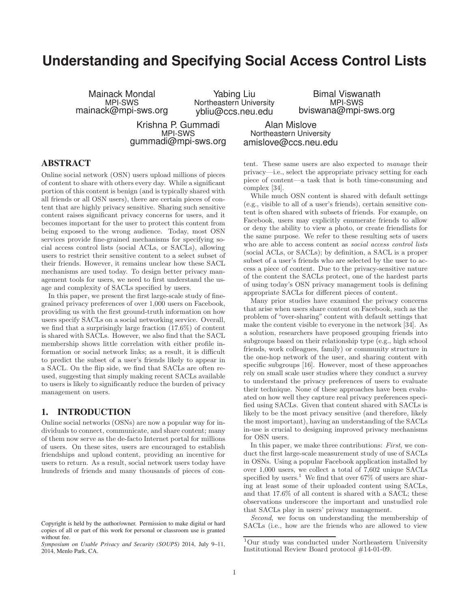# **Understanding and Specifying Social Access Control Lists**

Mainack Mondal MPI-SWS mainack@mpi-sws.org

Yabing Liu Northeastern University ybliu@ccs.neu.edu

Bimal Viswanath MPI-SWS bviswana@mpi-sws.org

Krishna P. Gummadi MPI-SWS gummadi@mpi-sws.org

Alan Mislove Northeastern University amislove@ccs.neu.edu

# **ABSTRACT**

Online social network (OSN) users upload millions of pieces of content to share with others every day. While a significant portion of this content is benign (and is typically shared with all friends or all OSN users), there are certain pieces of content that are highly privacy sensitive. Sharing such sensitive content raises significant privacy concerns for users, and it becomes important for the user to protect this content from being exposed to the wrong audience. Today, most OSN services provide fine-grained mechanisms for specifying social access control lists (social ACLs, or SACLs), allowing users to restrict their sensitive content to a select subset of their friends. However, it remains unclear how these SACL mechanisms are used today. To design better privacy management tools for users, we need to first understand the usage and complexity of SACLs specified by users.

In this paper, we present the first large-scale study of finegrained privacy preferences of over 1,000 users on Facebook, providing us with the first ground-truth information on how users specify SACLs on a social networking service. Overall, we find that a surprisingly large fraction (17.6%) of content is shared with SACLs. However, we also find that the SACL membership shows little correlation with either profile information or social network links; as a result, it is difficult to predict the subset of a user's friends likely to appear in a SACL. On the flip side, we find that SACLs are often reused, suggesting that simply making recent SACLs available to users is likely to significantly reduce the burden of privacy management on users.

# **1. INTRODUCTION**

Online social networks (OSNs) are now a popular way for individuals to connect, communicate, and share content; many of them now serve as the de-facto Internet portal for millions of users. On these sites, users are encouraged to establish friendships and upload content, providing an incentive for users to return. As a result, social network users today have hundreds of friends and many thousands of pieces of content. These same users are also expected to manage their privacy—i.e., select the appropriate privacy setting for each piece of content—a task that is both time-consuming and complex [34].

While much OSN content is shared with default settings (e.g., visible to all of a user's friends), certain sensitive content is often shared with subsets of friends. For example, on Facebook, users may explicitly enumerate friends to allow or deny the ability to view a photo, or create friendlists for the same purpose. We refer to these resulting sets of users who are able to access content as social access control lists (social ACLs, or SACLs); by definition, a SACL is a proper subset of a user's friends who are selected by the user to access a piece of content. Due to the privacy-sensitive nature of the content the SACLs protect, one of the hardest parts of using today's OSN privacy management tools is defining appropriate SACLs for different pieces of content.

Many prior studies have examined the privacy concerns that arise when users share content on Facebook, such as the problem of "over-sharing" content with default settings that make the content visible to everyone in the network [34]. As a solution, researchers have proposed grouping friends into subgroups based on their relationship type (e.g., high school friends, work colleagues, family) or community structure in the one-hop network of the user, and sharing content with specific subgroups [16]. However, most of these approaches rely on small scale user studies where they conduct a survey to understand the privacy preferences of users to evaluate their technique. None of these approaches have been evaluated on how well they capture real privacy preferences specified using SACLs. Given that content shared with SACLs is likely to be the most privacy sensitive (and therefore, likely the most important), having an understanding of the SACLs in-use is crucial to designing improved privacy mechanisms for OSN users.

In this paper, we make three contributions: First, we conduct the first large-scale measurement study of use of SACLs in OSNs. Using a popular Facebook application installed by over 1,000 users, we collect a total of 7,602 unique SACLs specified by users.<sup>1</sup> We find that over 67% of users are sharing at least some of their uploaded content using SACLs, and that 17.6% of all content is shared with a SACL; these observations underscore the important and unstudied role that SACLs play in users' privacy management.

Second, we focus on understanding the membership of SACLs (i.e., how are the friends who are allowed to view

Copyright is held by the author/owner. Permission to make digital or hard copies of all or part of this work for personal or classroom use is granted without fee.

*Symposium on Usable Privacy and Security (SOUPS)* 2014, July 9–11, 2014, Menlo Park, CA.

<sup>1</sup>Our study was conducted under Northeastern University Institutional Review Board protocol #14-01-09.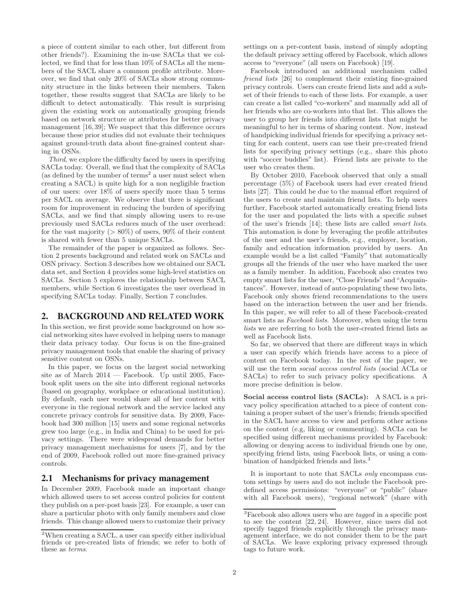a piece of content similar to each other, but different from other friends?). Examining the in-use SACLs that we collected, we find that for less than 10% of SACLs all the members of the SACL share a common profile attribute. Moreover, we find that only 20% of SACLs show strong community structure in the links between their members. Taken together, these results suggest that SACLs are likely to be difficult to detect automatically. This result is surprising given the existing work on automatically grouping friends based on network structure or attributes for better privacy management [16, 39]; We suspect that this difference occurs because these prior studies did not evaluate their techniques against ground-truth data about fine-grained content sharing in OSNs.

Third, we explore the difficulty faced by users in specifying SACLs today. Overall, we find that the complexity of SACLs (as defined by the number of terms<sup>2</sup> a user must select when creating a SACL) is quite high for a non negligible fraction of our users: over 18% of users specify more than 5 terms per SACL on average. We observe that there is significant room for improvement in reducing the burden of specifying SACLs, and we find that simply allowing users to re-use previously used SACLs reduces much of the user overhead: for the vast majority ( $> 80\%$ ) of users, 90% of their content is shared with fewer than 5 unique SACLs.

The remainder of the paper is organized as follows. Section 2 presents background and related work on SACLs and OSN privacy. Section 3 describes how we obtained our SACL data set, and Section 4 provides some high-level statistics on SACLs. Section 5 explores the relationship between SACL members, while Section 6 investigates the user overhead in specifying SACLs today. Finally, Section 7 concludes.

## **2. BACKGROUND AND RELATED WORK**

In this section, we first provide some background on how social networking sites have evolved in helping users to manage their data privacy today. Our focus is on the fine-grained privacy management tools that enable the sharing of privacy sensitive content on OSNs.

In this paper, we focus on the largest social networking site as of March 2014 — Facebook. Up until 2005, Facebook split users on the site into different regional networks (based on geography, workplace or educational institution). By default, each user would share all of her content with everyone in the regional network and the service lacked any concrete privacy controls for sensitive data. By 2009, Facebook had 300 million [15] users and some regional networks grew too large (e.g., in India and China) to be used for privacy settings. There were widespread demands for better privacy management mechanisms for users [7], and by the end of 2009, Facebook rolled out more fine-grained privacy controls.

# **2.1 Mechanisms for privacy management**

In December 2009, Facebook made an important change which allowed users to set access control policies for content they publish on a per-post basis [23]. For example, a user can share a particular photo with only family members and close friends. This change allowed users to customize their privacy settings on a per-content basis, instead of simply adopting the default privacy setting offered by Facebook, which allows access to "everyone" (all users on Facebook) [19].

Facebook introduced an additional mechanism called friend lists [26] to complement their existing fine-grained privacy controls. Users can create friend lists and add a subset of their friends to each of these lists. For example, a user can create a list called "co-workers" and manually add all of her friends who are co-workers into that list. This allows the user to group her friends into different lists that might be meaningful to her in terms of sharing content. Now, instead of handpicking individual friends for specifying a privacy setting for each content, users can use their pre-created friend lists for specifying privacy settings (e.g., share this photo with "soccer buddies" list). Friend lists are private to the user who creates them.

By October 2010, Facebook observed that only a small percentage (5%) of Facebook users had ever created friend lists [27]. This could be due to the manual effort required of the users to create and maintain friend lists. To help users further, Facebook started automatically creating friend lists for the user and populated the lists with a specific subset of the user's friends [14]; these lists are called smart lists. This automation is done by leveraging the profile attributes of the user and the user's friends, e.g., employer, location, family and education information provided by users. An example would be a list called "Family" that automatically groups all the friends of the user who have marked the user as a family member. In addition, Facebook also creates two empty smart lists for the user, "Close Friends" and "Acquaintances". However, instead of auto-populating these two lists, Facebook only shows friend recommendations to the users based on the interaction between the user and her friends. In this paper, we will refer to all of these Facebook-created smart lists as Facebook lists. Moreover, when using the term lists we are referring to both the user-created friend lists as well as Facebook lists.

So far, we observed that there are different ways in which a user can specify which friends have access to a piece of content on Facebook today. In the rest of the paper, we will use the term *social access control lists* (social ACLs or SACLs) to refer to such privacy policy specifications. A more precise definition is below.

Social access control lists (SACLs): A SACL is a privacy policy specification attached to a piece of content containing a proper subset of the user's friends; friends specified in the SACL have access to view and perform other actions on the content (e.g, liking or commenting). SACLs can be specified using different mechanisms provided by Facebook: allowing or denying access to individual friends one by one, specifying friend lists, using Facebook lists, or using a combination of handpicked friends and lists.<sup>3</sup>

It is important to note that SACLs only encompass custom settings by users and do not include the Facebook predefined access permissions: "everyone" or "public" (share with all Facebook users), "regional network" (share with

<sup>&</sup>lt;sup>2</sup>When creating a SACL, a user can specify either individual friends or pre-created lists of friends; we refer to both of these as terms.

<sup>3</sup>Facebook also allows users who are tagged in a specific post to see the content [22, 24]. However, since users did not specify tagged friends explicitly through the privacy management interface, we do not consider them to be the part of SACLs. We leave exploring privacy expressed through tags to future work.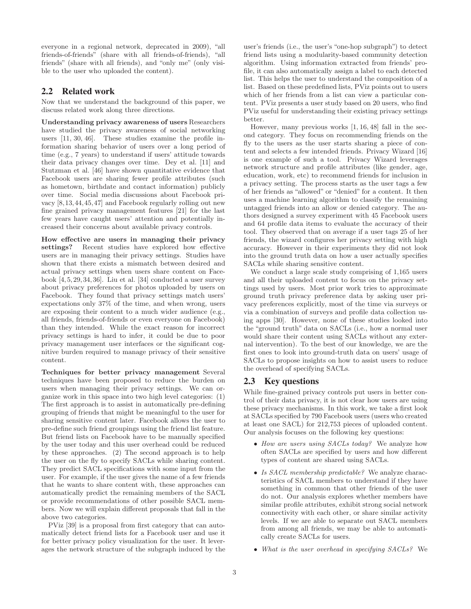everyone in a regional network, deprecated in 2009), "all friends-of-friends" (share with all friends-of-friends), "all friends" (share with all friends), and "only me" (only visible to the user who uploaded the content).

# **2.2 Related work**

Now that we understand the background of this paper, we discuss related work along three directions.

Understanding privacy awareness of users Researchers have studied the privacy awareness of social networking users [11, 30, 46]. These studies examine the profile information sharing behavior of users over a long period of time (e.g., 7 years) to understand if users' attitude towards their data privacy changes over time. Dey et al. [11] and Stutzman et al. [46] have shown quantitative evidence that Facebook users are sharing fewer profile attributes (such as hometown, birthdate and contact information) publicly over time. Social media discussions about Facebook privacy [8,13,44,45,47] and Facebook regularly rolling out new fine grained privacy management features [21] for the last few years have caught users' attention and potentially increased their concerns about available privacy controls.

How effective are users in managing their privacy settings? Recent studies have explored how effective users are in managing their privacy settings. Studies have shown that there exists a mismatch between desired and actual privacy settings when users share content on Facebook  $[4, 5, 29, 34, 36]$ . Liu et al.  $[34]$  conducted a user survey about privacy preferences for photos uploaded by users on Facebook. They found that privacy settings match users' expectations only 37% of the time, and when wrong, users are exposing their content to a much wider audience (e.g., all friends, friends-of-friends or even everyone on Facebook) than they intended. While the exact reason for incorrect privacy settings is hard to infer, it could be due to poor privacy management user interfaces or the significant cognitive burden required to manage privacy of their sensitive content.

Techniques for better privacy management Several techniques have been proposed to reduce the burden on users when managing their privacy settings. We can organize work in this space into two high level categories: (1) The first approach is to assist in automatically pre-defining grouping of friends that might be meaningful to the user for sharing sensitive content later. Facebook allows the user to pre-define such friend groupings using the friend list feature. But friend lists on Facebook have to be manually specified by the user today and this user overhead could be reduced by these approaches. (2) The second approach is to help the user on the fly to specify SACLs while sharing content. They predict SACL specifications with some input from the user. For example, if the user gives the name of a few friends that he wants to share content with, these approaches can automatically predict the remaining members of the SACL or provide recommendations of other possible SACL members. Now we will explain different proposals that fall in the above two categories.

PViz [39] is a proposal from first category that can automatically detect friend lists for a Facebook user and use it for better privacy policy visualization for the user. It leverages the network structure of the subgraph induced by the user's friends (i.e., the user's "one-hop subgraph") to detect friend lists using a modularity-based community detection algorithm. Using information extracted from friends' profile, it can also automatically assign a label to each detected list. This helps the user to understand the composition of a list. Based on these predefined lists, PViz points out to users which of her friends from a list can view a particular content. PViz presents a user study based on 20 users, who find PViz useful for understanding their existing privacy settings better.

However, many previous works [1, 16, 48] fall in the second category. They focus on recommending friends on the fly to the users as the user starts sharing a piece of content and selects a few intended friends. Privacy Wizard [16] is one example of such a tool. Privacy Wizard leverages network structure and profile attributes (like gender, age, education, work, etc) to recommend friends for inclusion in a privacy setting. The process starts as the user tags a few of her friends as "allowed" or "denied" for a content. It then uses a machine learning algorithm to classify the remaining untagged friends into an allow or denied category. The authors designed a survey experiment with 45 Facebook users and 64 profile data items to evaluate the accuracy of their tool. They observed that on average if a user tags 25 of her friends, the wizard configures her privacy setting with high accuracy. However in their experiments they did not look into the ground truth data on how a user actually specifies SACLs while sharing sensitive content.

We conduct a large scale study comprising of 1,165 users and all their uploaded content to focus on the privacy settings used by users. Most prior work tries to approximate ground truth privacy preference data by asking user privacy preferences explicitly, most of the time via surveys or via a combination of surveys and profile data collection using apps [30]. However, none of these studies looked into the "ground truth" data on SACLs (i.e., how a normal user would share their content using SACLs without any external intervention). To the best of our knowledge, we are the first ones to look into ground-truth data on users' usage of SACLs to propose insights on how to assist users to reduce the overhead of specifying SACLs.

# **2.3 Key questions**

While fine-grained privacy controls put users in better control of their data privacy, it is not clear how users are using these privacy mechanisms. In this work, we take a first look at SACLs specified by 790 Facebook users (users who created at least one SACL) for 212,753 pieces of uploaded content. Our analysis focuses on the following key questions:

- How are users using SACLs today? We analyze how often SACLs are specified by users and how different types of content are shared using SACLs.
- Is SACL membership predictable? We analyze characteristics of SACL members to understand if they have something in common that other friends of the user do not. Our analysis explores whether members have similar profile attributes, exhibit strong social network connectivity with each other, or share similar activity levels. If we are able to separate out SACL members from among all friends, we may be able to automatically create SACLs for users.
- What is the user overhead in specifying SACLs? We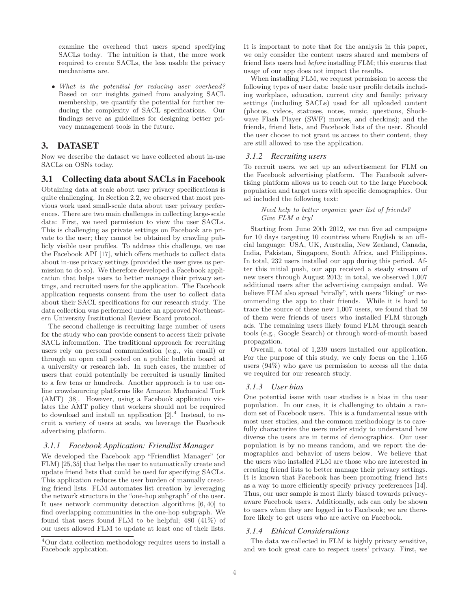examine the overhead that users spend specifying SACLs today. The intuition is that, the more work required to create SACLs, the less usable the privacy mechanisms are.

• What is the potential for reducing user overhead? Based on our insights gained from analyzing SACL membership, we quantify the potential for further reducing the complexity of SACL specifications. Our findings serve as guidelines for designing better privacy management tools in the future.

## **3. DATASET**

Now we describe the dataset we have collected about in-use SACLs on OSNs today.

## **3.1 Collecting data about SACLs in Facebook**

Obtaining data at scale about user privacy specifications is quite challenging. In Section 2.2, we observed that most previous work used small-scale data about user privacy preferences. There are two main challenges in collecting large-scale data: First, we need permission to view the user SACLs. This is challenging as private settings on Facebook are private to the user; they cannot be obtained by crawling publicly visible user profiles. To address this challenge, we use the Facebook API [17], which offers methods to collect data about in-use privacy settings (provided the user gives us permission to do so). We therefore developed a Facebook application that helps users to better manage their privacy settings, and recruited users for the application. The Facebook application requests consent from the user to collect data about their SACL specifications for our research study. The data collection was performed under an approved Northeastern University Institutional Review Board protocol.

The second challenge is recruiting large number of users for the study who can provide consent to access their private SACL information. The traditional approach for recruiting users rely on personal communication (e.g., via email) or through an open call posted on a public bulletin board at a university or research lab. In such cases, the number of users that could potentially be recruited is usually limited to a few tens or hundreds. Another approach is to use online crowdsourcing platforms like Amazon Mechanical Turk (AMT) [38]. However, using a Facebook application violates the AMT policy that workers should not be required to download and install an application  $[2].<sup>4</sup>$  Instead, to recruit a variety of users at scale, we leverage the Facebook advertising platform.

#### *3.1.1 Facebook Application: Friendlist Manager*

We developed the Facebook app "Friendlist Manager" (or FLM) [25,35] that helps the user to automatically create and update friend lists that could be used for specifying SACLs. This application reduces the user burden of manually creating friend lists. FLM automates list creation by leveraging the network structure in the "one-hop subgraph" of the user. It uses network community detection algorithms [6, 40] to find overlapping communities in the one-hop subgraph. We found that users found FLM to be helpful; 480 (41%) of our users allowed FLM to update at least one of their lists.

It is important to note that for the analysis in this paper, we only consider the content users shared and members of friend lists users had before installing FLM; this ensures that usage of our app does not impact the results.

When installing FLM, we request permission to access the following types of user data: basic user profile details including workplace, education, current city and family; privacy settings (including SACLs) used for all uploaded content (photos, videos, statuses, notes, music, questions, Shockwave Flash Player (SWF) movies, and checkins); and the friends, friend lists, and Facebook lists of the user. Should the user choose to not grant us access to their content, they are still allowed to use the application.

#### *3.1.2 Recruiting users*

To recruit users, we set up an advertisement for FLM on the Facebook advertising platform. The Facebook advertising platform allows us to reach out to the large Facebook population and target users with specific demographics. Our ad included the following text:

#### Need help to better organize your list of friends? Give FLM a try!

Starting from June 20th 2012, we ran five ad campaigns for 10 days targeting 10 countries where English is an official language: USA, UK, Australia, New Zealand, Canada, India, Pakistan, Singapore, South Africa, and Philippines. In total, 232 users installed our app during this period. After this initial push, our app received a steady stream of new users through August 2013; in total, we observed 1,007 additional users after the advertising campaign ended. We believe FLM also spread "virally", with users "liking" or recommending the app to their friends. While it is hard to trace the source of these new 1,007 users, we found that 59 of them were friends of users who installed FLM through ads. The remaining users likely found FLM through search tools (e.g., Google Search) or through word-of-mouth based propagation.

Overall, a total of 1,239 users installed our application. For the purpose of this study, we only focus on the 1,165 users (94%) who gave us permission to access all the data we required for our research study.

#### *3.1.3 User bias*

One potential issue with user studies is a bias in the user population. In our case, it is challenging to obtain a random set of Facebook users. This is a fundamental issue with most user studies, and the common methodology is to carefully characterize the users under study to understand how diverse the users are in terms of demographics. Our user population is by no means random, and we report the demographics and behavior of users below. We believe that the users who installed FLM are those who are interested in creating friend lists to better manage their privacy settings. It is known that Facebook has been promoting friend lists as a way to more efficiently specify privacy preferences [14]. Thus, our user sample is most likely biased towards privacyaware Facebook users. Additionally, ads can only be shown to users when they are logged in to Facebook; we are therefore likely to get users who are active on Facebook.

#### *3.1.4 Ethical Considerations*

The data we collected in FLM is highly privacy sensitive, and we took great care to respect users' privacy. First, we

<sup>4</sup>Our data collection methodology requires users to install a Facebook application.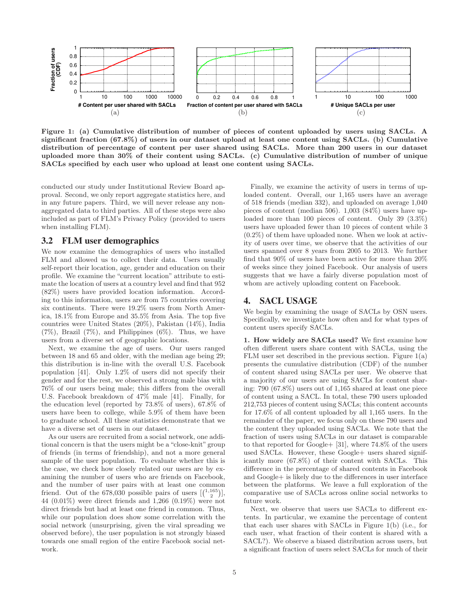

Figure 1: (a) Cumulative distribution of number of pieces of content uploaded by users using SACLs. A significant fraction (67.8%) of users in our dataset upload at least one content using SACLs. (b) Cumulative distribution of percentage of content per user shared using SACLs. More than 200 users in our dataset uploaded more than 30% of their content using SACLs. (c) Cumulative distribution of number of unique SACLs specified by each user who upload at least one content using SACLs.

conducted our study under Institutional Review Board approval. Second, we only report aggregate statistics here, and in any future papers. Third, we will never release any nonaggregated data to third parties. All of these steps were also included as part of FLM's Privacy Policy (provided to users when installing FLM).

#### **3.2 FLM user demographics**

We now examine the demographics of users who installed FLM and allowed us to collect their data. Users usually self-report their location, age, gender and education on their profile. We examine the "current location" attribute to estimate the location of users at a country level and find that 952 (82%) users have provided location information. According to this information, users are from 75 countries covering six continents. There were 19.2% users from North America, 18.1% from Europe and 35.5% from Asia. The top five countries were United States (20%), Pakistan (14%), India  $(7\%)$ , Brazil  $(7\%)$ , and Philippines  $(6\%)$ . Thus, we have users from a diverse set of geographic locations.

Next, we examine the age of users. Our users ranged between 18 and 65 and older, with the median age being 29; this distribution is in-line with the overall U.S. Facebook population [41]. Only 1.2% of users did not specify their gender and for the rest, we observed a strong male bias with 76% of our users being male; this differs from the overall U.S. Facebook breakdown of 47% male [41]. Finally, for the education level (reported by 73.8% of users), 67.8% of users have been to college, while 5.9% of them have been to graduate school. All these statistics demonstrate that we have a diverse set of users in our dataset.

As our users are recruited from a social network, one additional concern is that the users might be a "close-knit" group of friends (in terms of friendship), and not a more general sample of the user population. To evaluate whether this is the case, we check how closely related our users are by examining the number of users who are friends on Facebook, and the number of user pairs with at least one common friend. Out of the 678,030 possible pairs of users  $\left[\binom{1,165}{2}\right]$ , 44 (0.01%) were direct friends and 1,266 (0.19%) were not direct friends but had at least one friend in common. Thus, while our population does show some correlation with the social network (unsurprising, given the viral spreading we observed before), the user population is not strongly biased towards one small region of the entire Facebook social network.

Finally, we examine the activity of users in terms of uploaded content. Overall, our 1,165 users have an average of 518 friends (median 332), and uploaded on average 1,040 pieces of content (median 506). 1,003 (84%) users have uploaded more than 100 pieces of content. Only 39 (3.3%) users have uploaded fewer than 10 pieces of content while 3 (0.2%) of them have uploaded none. When we look at activity of users over time, we observe that the activities of our users spanned over 8 years from 2005 to 2013. We further find that 90% of users have been active for more than 20% of weeks since they joined Facebook. Our analysis of users suggests that we have a fairly diverse population most of whom are actively uploading content on Facebook.

## **4. SACL USAGE**

We begin by examining the usage of SACLs by OSN users. Specifically, we investigate how often and for what types of content users specify SACLs.

1. How widely are SACLs used? We first examine how often different users share content with SACLs, using the FLM user set described in the previous section. Figure 1(a) presents the cumulative distribution (CDF) of the number of content shared using SACLs per user. We observe that a majority of our users are using SACLs for content sharing: 790 (67.8%) users out of 1,165 shared at least one piece of content using a SACL. In total, these 790 users uploaded 212,753 pieces of content using SACLs; this content accounts for 17.6% of all content uploaded by all 1,165 users. In the remainder of the paper, we focus only on these 790 users and the content they uploaded using SACLs. We note that the fraction of users using SACLs in our dataset is comparable to that reported for Google+ [31], where 74.8% of the users used SACLs. However, these Google+ users shared significantly more (67.8%) of their content with SACLs. This difference in the percentage of shared contents in Facebook and Google+ is likely due to the differences in user interface between the platforms. We leave a full exploration of the comparative use of SACLs across online social networks to future work.

Next, we observe that users use SACLs to different extents. In particular, we examine the percentage of content that each user shares with SACLs in Figure 1(b) (i.e., for each user, what fraction of their content is shared with a SACL?). We observe a biased distribution across users, but a significant fraction of users select SACLs for much of their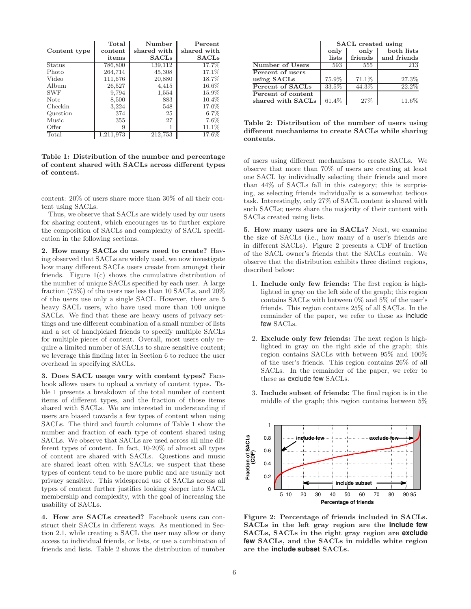|               | Total     | Number       | Percent      |
|---------------|-----------|--------------|--------------|
| Content type  | content   | shared with  | shared with  |
|               | items     | <b>SACLS</b> | <b>SACLs</b> |
| <b>Status</b> | 786,800   | 139,112      | 17.7%        |
| Photo         | 264,714   | 45,308       | 17.1%        |
| Video         | 111,676   | 20,880       | 18.7%        |
| Album         | 26,527    | 4,415        | 16.6%        |
| <b>SWF</b>    | 9,794     | 1,554        | 15.9%        |
| Note          | 8,500     | 883          | $10.4\%$     |
| Checkin       | 3,224     | 548          | 17.0%        |
| Question      | 374       | 25           | $6.7\%$      |
| Music         | 355       | 27           | $7.6\%$      |
| Offer         | 9         |              | 11.1%        |
| Total         | 1,211,973 | 212,753      | 17.6%        |

Table 1: Distribution of the number and percentage of content shared with SACLs across different types of content.

content: 20% of users share more than 30% of all their content using SACLs.

Thus, we observe that SACLs are widely used by our users for sharing content, which encourages us to further explore the composition of SACLs and complexity of SACL specification in the following sections.

2. How many SACLs do users need to create? Having observed that SACLs are widely used, we now investigate how many different SACLs users create from amongst their friends. Figure 1(c) shows the cumulative distribution of the number of unique SACLs specified by each user. A large fraction (75%) of the users use less than 10 SACLs, and 20% of the users use only a single SACL. However, there are 5 heavy SACL users, who have used more than 100 unique SACLs. We find that these are heavy users of privacy settings and use different combination of a small number of lists and a set of handpicked friends to specify multiple SACLs for multiple pieces of content. Overall, most users only require a limited number of SACLs to share sensitive content; we leverage this finding later in Section 6 to reduce the user overhead in specifying SACLs.

3. Does SACL usage vary with content types? Facebook allows users to upload a variety of content types. Table 1 presents a breakdown of the total number of content items of different types, and the fraction of those items shared with SACLs. We are interested in understanding if users are biased towards a few types of content when using SACLs. The third and fourth columns of Table 1 show the number and fraction of each type of content shared using SACLs. We observe that SACLs are used across all nine different types of content. In fact, 10-20% of almost all types of content are shared with SACLs. Questions and music are shared least often with SACLs; we suspect that these types of content tend to be more public and are usually not privacy sensitive. This widespread use of SACLs across all types of content further justifies looking deeper into SACL membership and complexity, with the goal of increasing the usability of SACLs.

4. How are SACLs created? Facebook users can construct their SACLs in different ways. As mentioned in Section 2.1, while creating a SACL the user may allow or deny access to individual friends, or lists, or use a combination of friends and lists. Table 2 shows the distribution of number

|                                         | <b>SACL</b> created using |                 |                           |
|-----------------------------------------|---------------------------|-----------------|---------------------------|
|                                         | only<br>lists             | only<br>friends | both lists<br>and friends |
| Number of Users                         | 593                       | 555             | 213                       |
| Percent of users                        |                           |                 |                           |
| using SACLs                             | 75.9%                     | 71.1%           | 27.3%                     |
| Percent of SACLs                        | 33.5%                     | 44.3%           | $22.\overline{2\%}$       |
| Percent of content<br>shared with SACLs | 61.4%                     | 27%             | 11.6%                     |

Table 2: Distribution of the number of users using different mechanisms to create SACLs while sharing contents.

of users using different mechanisms to create SACLs. We observe that more than 70% of users are creating at least one SACL by individually selecting their friends and more than 44% of SACLs fall in this category; this is surprising, as selecting friends individually is a somewhat tedious task. Interestingly, only 27% of SACL content is shared with such SACLs; users share the majority of their content with SACLs created using lists.

5. How many users are in SACLs? Next, we examine the size of SACLs (i.e., how many of a user's friends are in different SACLs). Figure 2 presents a CDF of fraction of the SACL owner's friends that the SACLs contain. We observe that the distribution exhibits three distinct regions, described below:

- 1. Include only few friends: The first region is highlighted in gray on the left side of the graph; this region contains SACLs with between 0% and 5% of the user's friends. This region contains 25% of all SACLs. In the remainder of the paper, we refer to these as include few SACLs.
- 2. Exclude only few friends: The next region is highlighted in gray on the right side of the graph; this region contains SACLs with between 95% and 100% of the user's friends. This region contains 26% of all SACLs. In the remainder of the paper, we refer to these as exclude few SACLs.
- 3. Include subset of friends: The final region is in the middle of the graph; this region contains between 5%



Figure 2: Percentage of friends included in SACLs. SACLs in the left gray region are the **include few** SACLs, SACLs in the right gray region are **exclude few** SACLs, and the SACLs in middle white region are the **include subset** SACLs.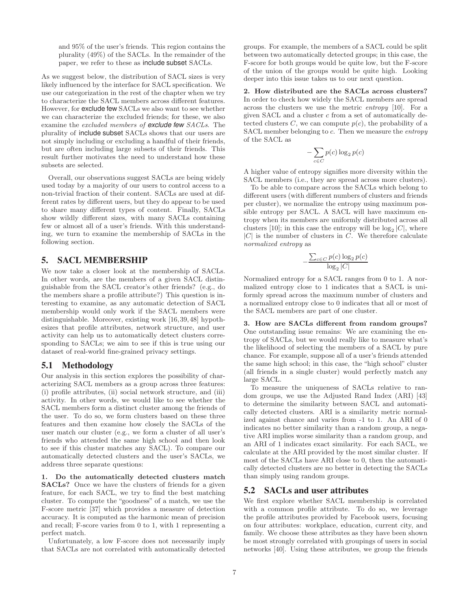and 95% of the user's friends. This region contains the plurality (49%) of the SACLs. In the remainder of the paper, we refer to these as include subset SACLs.

As we suggest below, the distribution of SACL sizes is very likely influenced by the interface for SACL specification. We use our categorization in the rest of the chapter when we try to characterize the SACL members across different features. However, for exclude few SACLs we also want to see whether we can characterize the excluded friends; for these, we also examine the excluded members of **exclude few** SACLs. The plurality of include subset SACLs shows that our users are not simply including or excluding a handful of their friends, but are often including large subsets of their friends. This result further motivates the need to understand how these subsets are selected.

Overall, our observations suggest SACLs are being widely used today by a majority of our users to control access to a non-trivial fraction of their content. SACLs are used at different rates by different users, but they do appear to be used to share many different types of content. Finally, SACLs show wildly different sizes, with many SACLs containing few or almost all of a user's friends. With this understanding, we turn to examine the membership of SACLs in the following section.

## **5. SACL MEMBERSHIP**

We now take a closer look at the membership of SACLs. In other words, are the members of a given SACL distinguishable from the SACL creator's other friends? (e.g., do the members share a profile attribute?) This question is interesting to examine, as any automatic detection of SACL membership would only work if the SACL members were distinguishable. Moreover, existing work [16, 39, 48] hypothesizes that profile attributes, network structure, and user activity can help us to automatically detect clusters corresponding to SACLs; we aim to see if this is true using our dataset of real-world fine-grained privacy settings.

#### **5.1 Methodology**

Our analysis in this section explores the possibility of characterizing SACL members as a group across three features: (i) profile attributes, (ii) social network structure, and (iii) activity. In other words, we would like to see whether the SACL members form a distinct cluster among the friends of the user. To do so, we form clusters based on these three features and then examine how closely the SACLs of the user match our cluster (e.g., we form a cluster of all user's friends who attended the same high school and then look to see if this cluster matches any SACL). To compare our automatically detected clusters and the user's SACLs, we address three separate questions:

1. Do the automatically detected clusters match SACLs? Once we have the clusters of friends for a given feature, for each SACL, we try to find the best matching cluster. To compute the "goodness" of a match, we use the F-score metric [37] which provides a measure of detection accuracy. It is computed as the harmonic mean of precision and recall; F-score varies from 0 to 1, with 1 representing a perfect match.

Unfortunately, a low F-score does not necessarily imply that SACLs are not correlated with automatically detected groups. For example, the members of a SACL could be split between two automatically detected groups; in this case, the F-score for both groups would be quite low, but the F-score of the union of the groups would be quite high. Looking deeper into this issue takes us to our next question.

2. How distributed are the SACLs across clusters? In order to check how widely the SACL members are spread across the clusters we use the metric entropy [10]. For a given SACL and a cluster  $c$  from a set of automatically detected clusters  $C$ , we can compute  $p(c)$ , the probability of a SACL member belonging to c. Then we measure the entropy of the SACL as

$$
-\sum_{c \in C} p(c) \log_2 p(c)
$$

A higher value of entropy signifies more diversity within the SACL members (i.e., they are spread across more clusters).

To be able to compare across the SACLs which belong to different users (with different numbers of clusters and friends per cluster), we normalize the entropy using maximum possible entropy per SACL. A SACL will have maximum entropy when its members are uniformly distributed across all clusters [10]; in this case the entropy will be  $log_2|C|$ , where  $|C|$  is the number of clusters in  $C$ . We therefore calculate normalized entropy as

$$
-\frac{\sum_{c \in C} p(c) \log_2 p(c)}{\log_2 |C|}
$$

Normalized entropy for a SACL ranges from 0 to 1. A normalized entropy close to 1 indicates that a SACL is uniformly spread across the maximum number of clusters and a normalized entropy close to 0 indicates that all or most of the SACL members are part of one cluster.

3. How are SACLs different from random groups? One outstanding issue remains: We are examining the entropy of SACLs, but we would really like to measure what's the likelihood of selecting the members of a SACL by pure chance. For example, suppose all of a user's friends attended the same high school; in this case, the "high school" cluster (all friends in a single cluster) would perfectly match any large SACL.

To measure the uniqueness of SACLs relative to random groups, we use the Adjusted Rand Index (ARI) [43] to determine the similarity between SACL and automatically detected clusters. ARI is a similarity metric normalized against chance and varies from -1 to 1. An ARI of 0 indicates no better similarity than a random group, a negative ARI implies worse similarity than a random group, and an ARI of 1 indicates exact similarity. For each SACL, we calculate at the ARI provided by the most similar cluster. If most of the SACLs have ARI close to 0, then the automatically detected clusters are no better in detecting the SACLs than simply using random groups.

#### **5.2 SACLs and user attributes**

We first explore whether SACL membership is correlated with a common profile attribute. To do so, we leverage the profile attributes provided by Facebook users, focusing on four attributes: workplace, education, current city, and family. We choose these attributes as they have been shown be most strongly correlated with groupings of users in social networks [40]. Using these attributes, we group the friends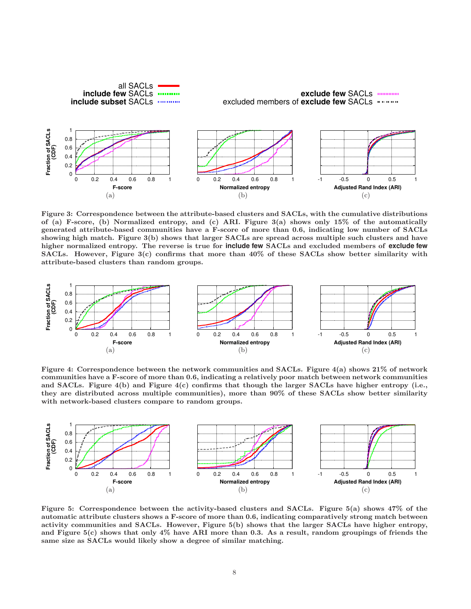

Figure 3: Correspondence between the attribute-based clusters and SACLs, with the cumulative distributions of (a) F-score, (b) Normalized entropy, and (c) ARI. Figure 3(a) shows only 15% of the automatically generated attribute-based communities have a F-score of more than 0.6, indicating low number of SACLs showing high match. Figure 3(b) shows that larger SACLs are spread across multiple such clusters and have higher normalized entropy. The reverse is true for **include few** SACLs and excluded members of **exclude few** SACLs. However, Figure 3(c) confirms that more than 40% of these SACLs show better similarity with attribute-based clusters than random groups.



Figure 4: Correspondence between the network communities and SACLs. Figure 4(a) shows 21% of network communities have a F-score of more than 0.6, indicating a relatively poor match between network communities and SACLs. Figure 4(b) and Figure 4(c) confirms that though the larger SACLs have higher entropy (i.e., they are distributed across multiple communities), more than 90% of these SACLs show better similarity with network-based clusters compare to random groups.



Figure 5: Correspondence between the activity-based clusters and SACLs. Figure 5(a) shows 47% of the automatic attribute clusters shows a F-score of more than 0.6, indicating comparatively strong match between activity communities and SACLs. However, Figure 5(b) shows that the larger SACLs have higher entropy, and Figure 5(c) shows that only 4% have ARI more than 0.3. As a result, random groupings of friends the same size as SACLs would likely show a degree of similar matching.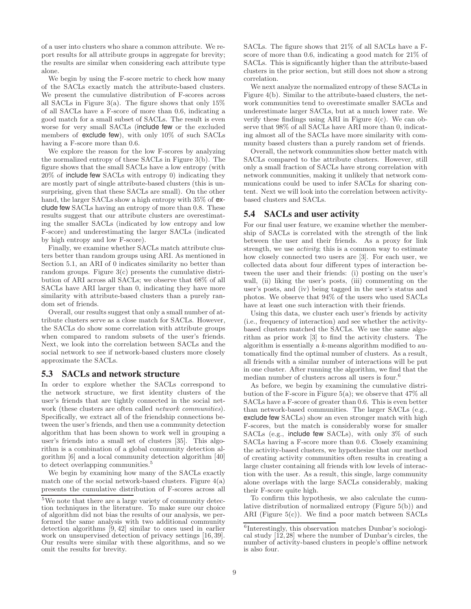of a user into clusters who share a common attribute. We report results for all attribute groups in aggregate for brevity; the results are similar when considering each attribute type alone.

We begin by using the F-score metric to check how many of the SACLs exactly match the attribute-based clusters. We present the cumulative distribution of F-scores across all SACLs in Figure 3(a). The figure shows that only  $15\%$ of all SACLs have a F-score of more than 0.6, indicating a good match for a small subset of SACLs. The result is even worse for very small SACLs (include few or the excluded members of exclude few), with only 10% of such SACLs having a F-score more than 0.6.

We explore the reason for the low F-scores by analyzing the normalized entropy of these SACLs in Figure 3(b). The figure shows that the small SACLs have a low entropy (with 20% of include few SACLs with entropy 0) indicating they are mostly part of single attribute-based clusters (this is unsurprising, given that these SACLs are small). On the other hand, the larger SACLs show a high entropy with  $35\%$  of exclude few SACLs having an entropy of more than 0.8. These results suggest that our attribute clusters are overestimating the smaller SACLs (indicated by low entropy and low F-score) and underestimating the larger SACLs (indicated by high entropy and low F-score).

Finally, we examine whether SACLs match attribute clusters better than random groups using ARI. As mentioned in Section 5.1, an ARI of 0 indicates similarity no better than random groups. Figure  $3(c)$  presents the cumulative distribution of ARI across all SACLs; we observe that 68% of all SACLs have ARI larger than 0, indicating they have more similarity with attribute-based clusters than a purely random set of friends.

Overall, our results suggest that only a small number of attribute clusters serve as a close match for SACLs. However, the SACLs do show some correlation with attribute groups when compared to random subsets of the user's friends. Next, we look into the correlation between SACLs and the social network to see if network-based clusters more closely approximate the SACLs.

#### **5.3 SACLs and network structure**

In order to explore whether the SACLs correspond to the network structure, we first identity clusters of the user's friends that are tightly connected in the social network (these clusters are often called network communities). Specifically, we extract all of the friendship connections between the user's friends, and then use a community detection algorithm that has been shown to work well in grouping a user's friends into a small set of clusters [35]. This algorithm is a combination of a global community detection algorithm [6] and a local community detection algorithm [40] to detect overlapping communities.<sup>5</sup>

We begin by examining how many of the SACLs exactly match one of the social network-based clusters. Figure  $4(a)$ presents the cumulative distribution of F-scores across all SACLs. The figure shows that 21% of all SACLs have a Fscore of more than 0.6, indicating a good match for 21% of SACLs. This is significantly higher than the attribute-based clusters in the prior section, but still does not show a strong correlation.

We next analyze the normalized entropy of these SACLs in Figure 4(b). Similar to the attribute-based clusters, the network communities tend to overestimate smaller SACLs and underestimate larger SACLs, but at a much lower rate. We verify these findings using ARI in Figure 4(c). We can observe that 98% of all SACLs have ARI more than 0, indicating almost all of the SACLs have more similarity with community based clusters than a purely random set of friends.

Overall, the network communities show better match with SACLs compared to the attribute clusters. However, still only a small fraction of SACLs have strong correlation with network communities, making it unlikely that network communications could be used to infer SACLs for sharing content. Next we will look into the correlation between activitybased clusters and SACLs.

#### **5.4 SACLs and user activity**

For our final user feature, we examine whether the membership of SACLs is correlated with the strength of the link between the user and their friends. As a proxy for link strength, we use *activity*; this is a common way to estimate how closely connected two users are [3]. For each user, we collected data about four different types of interaction between the user and their friends: (i) posting on the user's wall, (ii) liking the user's posts, (iii) commenting on the user's posts, and (iv) being tagged in the user's status and photos. We observe that 94% of the users who used SACLs have at least one such interaction with their friends.

Using this data, we cluster each user's friends by activity (i.e., frequency of interaction) and see whether the activitybased clusters matched the SACLs. We use the same algorithm as prior work [3] to find the activity clusters. The algorithm is essentially a k-means algorithm modified to automatically find the optimal number of clusters. As a result, all friends with a similar number of interactions will be put in one cluster. After running the algorithm, we find that the median number of clusters across all users is four.<sup>6</sup>

As before, we begin by examining the cumulative distribution of the F-score in Figure  $5(a)$ ; we observe that  $47\%$  all SACLs have a F-score of greater than 0.6. This is even better than network-based communities. The larger SACLs (e.g., exclude few SACLs) show an even stronger match with high F-scores, but the match is considerably worse for smaller SACLs (e.g., include few SACLs), with only 3% of such SACLs having a F-score more than 0.6. Closely examining the activity-based clusters, we hypothesize that our method of creating activity communities often results in creating a large cluster containing all friends with low levels of interaction with the user. As a result, this single, large community alone overlaps with the large SACLs considerably, making their F-score quite high.

To confirm this hypothesis, we also calculate the cumulative distribution of normalized entropy (Figure 5(b)) and ARI (Figure 5(c)). We find a poor match between SACLs

<sup>5</sup>We note that there are a large variety of community detection techniques in the literature. To make sure our choice of algorithm did not bias the results of our analysis, we performed the same analysis with two additional community detection algorithms [9, 42] similar to ones used in earlier work on unsupervised detection of privacy settings [16, 39]. Our results were similar with these algorithms, and so we omit the results for brevity.

<sup>6</sup> Interestingly, this observation matches Dunbar's sociological study [12, 28] where the number of Dunbar's circles, the number of activity-based clusters in people's offline network is also four.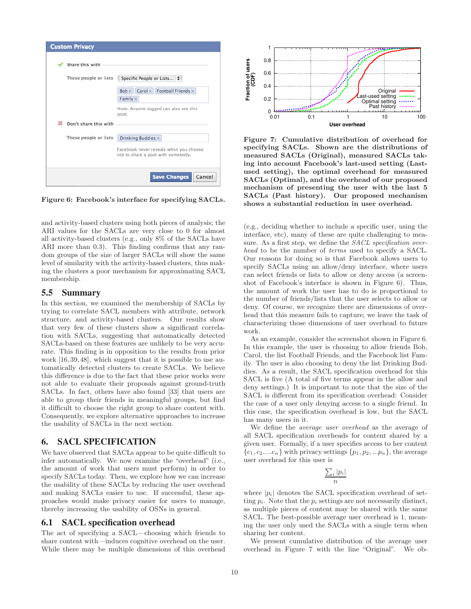|   | <b>Custom Privacy</b> |                                                                              |
|---|-----------------------|------------------------------------------------------------------------------|
|   | Share this with       |                                                                              |
|   | These people or lists | Specific People or Lists                                                     |
|   |                       | Carol $\times$ Football Friends $\times$<br>$Bob \times$<br>Family x         |
|   |                       | Note: Anyone tagged can also see this<br>post.                               |
| 紁 | Don't share this with |                                                                              |
|   | These people or lists | Drinking Buddies x                                                           |
|   |                       | Facebook never reveals when you choose<br>not to share a post with somebody. |
|   |                       | <b>Save Changes</b><br>Cancel                                                |

Figure 6: Facebook's interface for specifying SACLs.

and activity-based clusters using both pieces of analysis; the ARI values for the SACLs are very close to 0 for almost all activity-based clusters (e.g., only 8% of the SACLs have ARI more than  $(0.3)$ . This finding confirms that any random groups of the size of larger SACLs will show the same level of similarity with the activity-based clusters, thus making the clusters a poor mechanism for approximating SACL membership.

## **5.5 Summary**

In this section, we examined the membership of SACLs by trying to correlate SACL members with attribute, network structure, and activity-based clusters. Our results show that very few of these clusters show a significant correlation with SACLs, suggesting that automatically detected SACLs-based on these features are unlikely to be very accurate. This finding is in opposition to the results from prior work [16, 39, 48], which suggest that it is possible to use automatically detected clusters to create SACLs. We believe this difference is due to the fact that these prior works were not able to evaluate their proposals against ground-truth SACLs. In fact, others have also found [33] that users are able to group their friends in meaningful groups, but find it difficult to choose the right group to share content with. Consequently, we explore alternative approaches to increase the usability of SACLs in the next section.

# **6. SACL SPECIFICATION**

We have observed that SACLs appear to be quite difficult to infer automatically. We now examine the "overhead" (i.e., the amount of work that users must perform) in order to specify SACLs today. Then, we explore how we can increase the usability of these SACLs by reducing the user overhead and making SACLs easier to use. If successful, these approaches would make privacy easier for users to manage, thereby increasing the usability of OSNs in general.

#### **6.1 SACL specification overhead**

The act of specifying a SACL—choosing which friends to share content with—induces cognitive overhead on the user. While there may be multiple dimensions of this overhead



Figure 7: Cumulative distribution of overhead for specifying SACLs. Shown are the distributions of measured SACLs (Original), measured SACLs taking into account Facebook's last-used setting (Lastused setting), the optimal overhead for measured SACLs (Optimal), and the overhead of our proposed mechanism of presenting the user with the last 5 SACLs (Past history). Our proposed mechanism shows a substantial reduction in user overhead.

(e.g., deciding whether to include a specific user, using the interface, etc), many of these are quite challenging to measure. As a first step, we define the SACL specification overhead to be the number of *terms* used to specify a SACL. Our reasons for doing so is that Facebook allows users to specify SACLs using an allow/deny interface, where users can select friends or lists to allow or deny access (a screenshot of Facebook's interface is shown in Figure 6). Thus, the amount of work the user has to do is proportional to the number of friends/lists that the user selects to allow or deny. Of course, we recognize there are dimensions of overhead that this measure fails to capture; we leave the task of characterizing those dimensions of user overhead to future work.

As an example, consider the screenshot shown in Figure 6. In this example, the user is choosing to allow friends Bob, Carol, the list Football Friends, and the Facebook list Family. The user is also choosing to deny the list Drinking Buddies. As a result, the SACL specification overhead for this SACL is five (A total of five terms appear in the allow and deny settings.) It is important to note that the size of the SACL is different from its specification overhead: Consider the case of a user only denying access to a single friend. In this case, the specification overhead is low, but the SACL has many users in it.

We define the *average user overhead* as the average of all SACL specification overheads for content shared by a given user. Formally, if a user specifies access to her content  ${c_1, c_2, ... c_n}$  with privacy settings  ${p_1, p_2, ... p_n}$ , the average user overhead for this user is

$$
\frac{\sum_i |p_i|}{n}
$$

where  $|p_i|$  denotes the SACL specification overhead of setting  $p_i$ . Note that the  $p_i$  settings are not necessarily distinct, as multiple pieces of content may be shared with the same SACL. The best-possible average user overhead is 1, meaning the user only used the SACLs with a single term when sharing her content.

We present cumulative distribution of the average user overhead in Figure 7 with the line "Original". We ob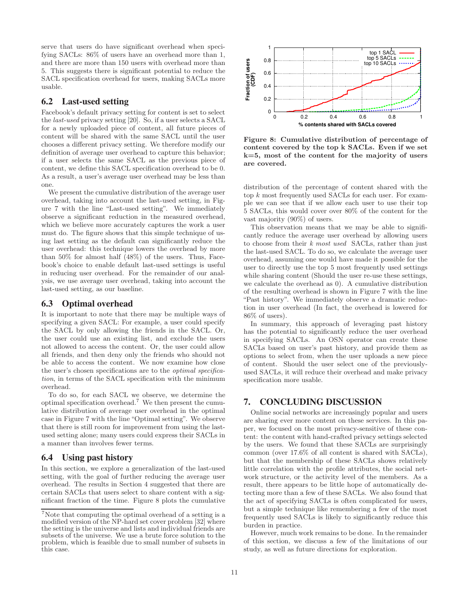serve that users do have significant overhead when specifying SACLs: 86% of users have an overhead more than 1, and there are more than 150 users with overhead more than 5. This suggests there is significant potential to reduce the SACL specification overhead for users, making SACLs more usable.

# **6.2 Last-used setting**

Facebook's default privacy setting for content is set to select the last-used privacy setting [20]. So, if a user selects a SACL for a newly uploaded piece of content, all future pieces of content will be shared with the same SACL until the user chooses a different privacy setting. We therefore modify our definition of average user overhead to capture this behavior; if a user selects the same SACL as the previous piece of content, we define this SACL specification overhead to be 0. As a result, a user's average user overhead may be less than one.

We present the cumulative distribution of the average user overhead, taking into account the last-used setting, in Figure 7 with the line "Last-used setting". We immediately observe a significant reduction in the measured overhead, which we believe more accurately captures the work a user must do. The figure shows that this simple technique of using last setting as the default can significantly reduce the user overhead: this technique lowers the overhead by more than 50% for almost half (48%) of the users. Thus, Facebook's choice to enable default last-used settings is useful in reducing user overhead. For the remainder of our analysis, we use average user overhead, taking into account the last-used setting, as our baseline.

## **6.3 Optimal overhead**

It is important to note that there may be multiple ways of specifying a given SACL: For example, a user could specify the SACL by only allowing the friends in the SACL. Or, the user could use an existing list, and exclude the users not allowed to access the content. Or, the user could allow all friends, and then deny only the friends who should not be able to access the content. We now examine how close the user's chosen specifications are to the optimal specification, in terms of the SACL specification with the minimum overhead.

To do so, for each SACL we observe, we determine the optimal specification overhead.<sup>7</sup> We then present the cumulative distribution of average user overhead in the optimal case in Figure 7 with the line "Optimal setting". We observe that there is still room for improvement from using the lastused setting alone; many users could express their SACLs in a manner than involves fewer terms.

#### **6.4 Using past history**

In this section, we explore a generalization of the last-used setting, with the goal of further reducing the average user overhead. The results in Section 4 suggested that there are certain SACLs that users select to share content with a significant fraction of the time. Figure 8 plots the cumulative



Figure 8: Cumulative distribution of percentage of content covered by the top k SACLs. Even if we set k=5, most of the content for the majority of users are covered.

distribution of the percentage of content shared with the top k most frequently used SACLs for each user. For example we can see that if we allow each user to use their top 5 SACLs, this would cover over 80% of the content for the vast majority (90%) of users.

This observation means that we may be able to significantly reduce the average user overhead by allowing users to choose from their k most used SACLs, rather than just the last-used SACL. To do so, we calculate the average user overhead, assuming one would have made it possible for the user to directly use the top 5 most frequently used settings while sharing content (Should the user re-use these settings, we calculate the overhead as 0). A cumulative distribution of the resulting overhead is shown in Figure 7 with the line "Past history". We immediately observe a dramatic reduction in user overhead (In fact, the overhead is lowered for 86% of users).

In summary, this approach of leveraging past history has the potential to significantly reduce the user overhead in specifying SACLs. An OSN operator can create these SACLs based on user's past history, and provide them as options to select from, when the user uploads a new piece of content. Should the user select one of the previouslyused SACLs, it will reduce their overhead and make privacy specification more usable.

# **7. CONCLUDING DISCUSSION**

Online social networks are increasingly popular and users are sharing ever more content on these services. In this paper, we focused on the most privacy-sensitive of these content: the content with hand-crafted privacy settings selected by the users. We found that these SACLs are surprisingly common (over 17.6% of all content is shared with SACLs), but that the membership of these SACLs shows relatively little correlation with the profile attributes, the social network structure, or the activity level of the members. As a result, there appears to be little hope of automatically detecting more than a few of these SACLs. We also found that the act of specifying SACLs is often complicated for users, but a simple technique like remembering a few of the most frequently used SACLs is likely to significantly reduce this burden in practice.

However, much work remains to be done. In the remainder of this section, we discuss a few of the limitations of our study, as well as future directions for exploration.

<sup>7</sup>Note that computing the optimal overhead of a setting is a modified version of the NP-hard set cover problem [32] where the setting is the universe and lists and individual friends are subsets of the universe. We use a brute force solution to the problem, which is feasible due to small number of subsets in this case.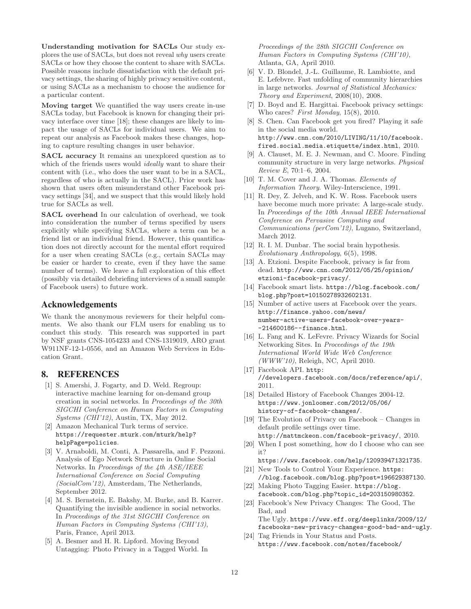Understanding motivation for SACLs Our study explores the use of SACLs, but does not reveal why users create SACLs or how they choose the content to share with SACLs. Possible reasons include dissatisfaction with the default privacy settings, the sharing of highly privacy sensitive content, or using SACLs as a mechanism to choose the audience for a particular content.

Moving target We quantified the way users create in-use SACLs today, but Facebook is known for changing their privacy interface over time [18]; these changes are likely to impact the usage of SACLs for individual users. We aim to repeat our analysis as Facebook makes these changes, hoping to capture resulting changes in user behavior.

SACL accuracy It remains an unexplored question as to which of the friends users would *ideally* want to share their content with (i.e., who does the user want to be in a SACL, regardless of who is actually in the SACL). Prior work has shown that users often misunderstand other Facebook privacy settings [34], and we suspect that this would likely hold true for SACLs as well.

SACL overhead In our calculation of overhead, we took into consideration the number of terms specified by users explicitly while specifying SACLs, where a term can be a friend list or an individual friend. However, this quantification does not directly account for the mental effort required for a user when creating SACLs (e.g., certain SACLs may be easier or harder to create, even if they have the same number of terms). We leave a full exploration of this effect (possibly via detailed debriefing interviews of a small sample of Facebook users) to future work.

# **Acknowledgements**

We thank the anonymous reviewers for their helpful comments. We also thank our FLM users for enabling us to conduct this study. This research was supported in part by NSF grants CNS-1054233 and CNS-1319019, ARO grant W911NF-12-1-0556, and an Amazon Web Services in Education Grant.

#### **8. REFERENCES**

- [1] S. Amershi, J. Fogarty, and D. Weld. Regroup: interactive machine learning for on-demand group creation in social networks. In Proceedings of the 30th SIGCHI Conference on Human Factors in Computing Systems (CHI'12), Austin, TX, May 2012.
- [2] Amazon Mechanical Turk terms of service. https://requester.mturk.com/mturk/help? helpPage=policies.
- [3] V. Arnaboldi, M. Conti, A. Passarella, and F. Pezzoni. Analysis of Ego Network Structure in Online Social Networks. In Proceedings of the 4th ASE/IEEE International Conference on Social Computing (SocialCom'12), Amsterdam, The Netherlands, September 2012.
- [4] M. S. Bernstein, E. Bakshy, M. Burke, and B. Karrer. Quantifying the invisible audience in social networks. In Proceedings of the 31st SIGCHI Conference on Human Factors in Computing Systems (CHI'13), Paris, France, April 2013.
- [5] A. Besmer and H. R. Lipford. Moving Beyond Untagging: Photo Privacy in a Tagged World. In

Proceedings of the 28th SIGCHI Conference on Human Factors in Computing Systems (CHI'10), Atlanta, GA, April 2010.

- [6] V. D. Blondel, J.-L. Guillaume, R. Lambiotte, and E. Lefebvre. Fast unfolding of community hierarchies in large networks. Journal of Statistical Mechanics: Theory and Experiment, 2008(10), 2008.
- [7] D. Boyd and E. Hargittai. Facebook privacy settings: Who cares? First Monday, 15(8), 2010.
- [8] S. Chen. Can Facebook get you fired? Playing it safe in the social media world. http://www.cnn.com/2010/LIVING/11/10/facebook. fired.social.media.etiquette/index.html, 2010.
- [9] A. Clauset, M. E. J. Newman, and C. Moore. Finding community structure in very large networks. Physical Review E, 70:1–6, 2004.
- [10] T. M. Cover and J. A. Thomas. *Elements of* Information Theory. Wiley-Interscience, 1991.
- [11] R. Dey, Z. Jelveh, and K. W. Ross. Facebook users have become much more private: A large-scale study. In Proceedings of the 10th Annual IEEE International Conference on Pervasive Computing and Communications (perCom'12), Lugano, Switzerland, March 2012.
- [12] R. I. M. Dunbar. The social brain hypothesis. Evolutionary Anthropology, 6(5), 1998.
- [13] A. Etzioni. Despite Facebook, privacy is far from dead. http://www.cnn.com/2012/05/25/opinion/ etzioni-facebook-privacy/.
- [14] Facebook smart lists. https://blog.facebook.com/ blog.php?post=10150278932602131.
- [15] Number of active users at Facebook over the years. http://finance.yahoo.com/news/ number-active-users-facebook-over-years- -214600186--finance.html.
- [16] L. Fang and K. LeFevre. Privacy Wizards for Social Networking Sites. In Proceedings of the 19th International World Wide Web Conference  $(WWW'10)$ , Releigh, NC, April 2010.
- [17] Facebook API. http: //developers.facebook.com/docs/reference/api/, 2011.
- [18] Detailed History of Facebook Changes 2004-12. https://www.jonloomer.com/2012/05/06/ history-of-facebook-changes/.
- [19] The Evolution of Privacy on Facebook Changes in default profile settings over time. http://mattmckeon.com/facebook-privacy/, 2010.
- [20] When I post something, how do I choose who can see it?
	- https://www.facebook.com/help/120939471321735.
- [21] New Tools to Control Your Experience. https: //blog.facebook.com/blog.php?post=196629387130.
- [22] Making Photo Tagging Easier. https://blog. facebook.com/blog.php?topic\_id=203150980352.
- [23] Facebook's New Privacy Changes: The Good, The Bad, and The Ugly. https://www.eff.org/deeplinks/2009/12/ facebooks-new-privacy-changes-good-bad-and-ugly.
- [24] Tag Friends in Your Status and Posts. https://www.facebook.com/notes/facebook/